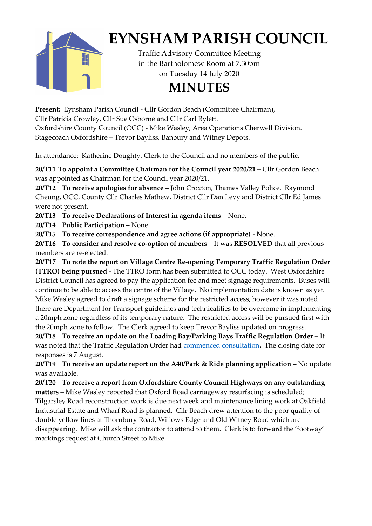

## **EYNSHAM PARISH COUNCIL**

Traffic Advisory Committee Meeting in the Bartholomew Room at 7.30pm on Tuesday 14 July 2020

## **MINUTES**

**Present:** Eynsham Parish Council - Cllr Gordon Beach (Committee Chairman), Cllr Patricia Crowley, Cllr Sue Osborne and Cllr Carl Rylett. Oxfordshire County Council (OCC) - Mike Wasley, Area Operations Cherwell Division. Stagecoach Oxfordshire – Trevor Bayliss, Banbury and Witney Depots.

In attendance: Katherine Doughty, Clerk to the Council and no members of the public.

**20/T11 To appoint a Committee Chairman for the Council year 2020/21 –** Cllr Gordon Beach was appointed as Chairman for the Council year 2020/21.

**20/T12 To receive apologies for absence –** John Croxton, Thames Valley Police. Raymond Cheung, OCC, County Cllr Charles Mathew, District Cllr Dan Levy and District Cllr Ed James were not present.

**20/T13 To receive Declarations of Interest in agenda items –** None.

**20/T14 Public Participation –** None.

**20/T15 To receive correspondence and agree actions (if appropriate)** - None.

**20/T16 To consider and resolve co-option of members –** It was **RESOLVED** that all previous members are re-elected.

**20/T17 To note the report on Village Centre Re-opening Temporary Traffic Regulation Order (TTRO) being pursued** - The TTRO form has been submitted to OCC today. West Oxfordshire District Council has agreed to pay the application fee and meet signage requirements. Buses will continue to be able to access the centre of the Village. No implementation date is known as yet. Mike Wasley agreed to draft a signage scheme for the restricted access, however it was noted there are Department for Transport guidelines and technicalities to be overcome in implementing a 20mph zone regardless of its temporary nature. The restricted access will be pursued first with the 20mph zone to follow. The Clerk agreed to keep Trevor Bayliss updated on progress.

**20/T18 To receive an update on the Loading Bay/Parking Bays Traffic Regulation Order –** It was noted that the Traffic Regulation Order had [commenced consultation](https://consultations.oxfordshire.gov.uk/consult.ti/EynshamParkingLoading/consultationHome)**.** The closing date for responses is 7 August.

**20/T19 To receive an update report on the A40/Park & Ride planning application –** No update was available.

**20/T20 To receive a report from Oxfordshire County Council Highways on any outstanding matters** – Mike Wasley reported that Oxford Road carriageway resurfacing is scheduled; Tilgarsley Road reconstruction work is due next week and maintenance lining work at Oakfield Industrial Estate and Wharf Road is planned. Cllr Beach drew attention to the poor quality of double yellow lines at Thornbury Road, Willows Edge and Old Witney Road which are disappearing. Mike will ask the contractor to attend to them. Clerk is to forward the 'footway' markings request at Church Street to Mike.